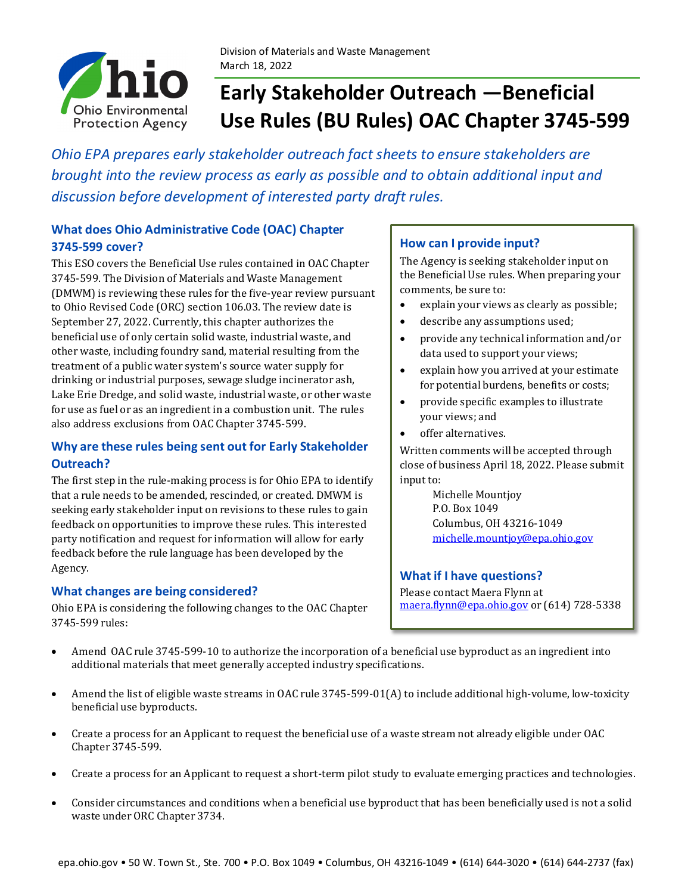

# **Early Stakeholder Outreach —Beneficial Use Rules (BU Rules) OAC Chapter 3745-599**

*Ohio EPA prepares early stakeholder outreach fact sheets to ensure stakeholders are brought into the review process as early as possible and to obtain additional input and discussion before development of interested party draft rules.*

# **What does Ohio Administrative Code (OAC) Chapter 3745-599 cover?**

This ESO covers the Beneficial Use rules contained in OAC Chapter 3745-599. The Division of Materials and Waste Management (DMWM) is reviewing these rules for the five-year review pursuant to Ohio Revised Code (ORC) section 106.03. The review date is September 27, 2022. Currently, this chapter authorizes the beneficial use of only certain solid waste, industrial waste, and other waste, including foundry sand, material resulting from the treatment of a public water system's source water supply for drinking or industrial purposes, sewage sludge incinerator ash, Lake Erie Dredge, and solid waste, industrial waste, or other waste for use as fuel or as an ingredient in a combustion unit. The rules also address exclusions from OAC Chapter 3745-599.

# **Why are these rules being sent out for Early Stakeholder Outreach?**

The first step in the rule-making process is for Ohio EPA to identify that a rule needs to be amended, rescinded, or created. DMWM is seeking early stakeholder input on revisions to these rules to gain feedback on opportunities to improve these rules. This interested party notification and request for information will allow for early feedback before the rule language has been developed by the Agency.

## **What changes are being considered?**

Ohio EPA is considering the following changes to the OAC Chapter 3745-599 rules:

### **How can I provide input?**

The Agency is seeking stakeholder input on the Beneficial Use rules. When preparing your comments, be sure to:

- explain your views as clearly as possible;
- describe any assumptions used;
- provide any technical information and/or data used to support your views;
- explain how you arrived at your estimate for potential burdens, benefits or costs;
- provide specific examples to illustrate your views; and
- offer alternatives.

Written comments will be accepted through close of business April 18, 2022. Please submit input to:

> Michelle Mountjoy P.O. Box 1049 Columbus, OH 43216-1049 [michelle.mountjoy@epa.ohio.gov](mailto:michelle.mountjoy@epa.ohio.gov)

### **What if I have questions?**

Please contact Maera Flynn at [maera.flynn@epa.ohio.gov](mailto:maera.flynn@epa.ohio.gov) or (614) 728-5338

- Amend OAC rule 3745-599-10 to authorize the incorporation of a beneficial use byproduct as an ingredient into additional materials that meet generally accepted industry specifications.
- Amend the list of eligible waste streams in OAC rule 3745-599-01(A) to include additional high-volume, low-toxicity beneficial use byproducts.
- Create a process for an Applicant to request the beneficial use of a waste stream not already eligible under OAC Chapter 3745-599.
- Create a process for an Applicant to request a short-term pilot study to evaluate emerging practices and technologies.
- Consider circumstances and conditions when a beneficial use byproduct that has been beneficially used is not a solid waste under ORC Chapter 3734.